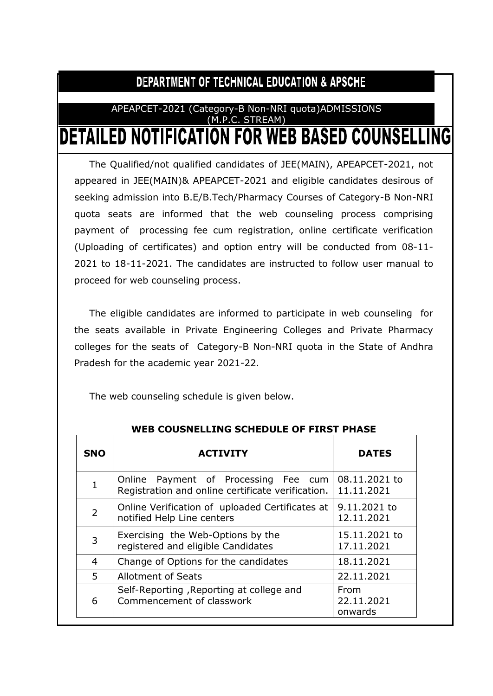# DEPARTMENT OF TECHNICAL EDUCATION & APSCHE

## APEAPCET-2021 (Category-B Non-NRI quota)ADMISSIONS (M.P.C. STREAM) **DETAILED NOTIFICATION FOR WEB BASED COUNSELLING**

The Qualified/not qualified candidates of JEE(MAIN), APEAPCET-2021, not appeared in JEE(MAIN)& APEAPCET-2021 and eligible candidates desirous of seeking admission into B.E/B.Tech/Pharmacy Courses of Category-B Non-NRI quota seats are informed that the web counseling process comprising payment of processing fee cum registration, online certificate verification (Uploading of certificates) and option entry will be conducted from 08-11- 2021 to 18-11-2021. The candidates are instructed to follow user manual to proceed for web counseling process.

The eligible candidates are informed to participate in web counseling for the seats available in Private Engineering Colleges and Private Pharmacy colleges for the seats of Category-B Non-NRI quota in the State of Andhra Pradesh for the academic year 2021-22.

The web counseling schedule is given below.

| <b>SNO</b>     | <b>ACTIVITY</b>                                                                           | <b>DATES</b>                  |
|----------------|-------------------------------------------------------------------------------------------|-------------------------------|
| $\mathbf{1}$   | Online Payment of Processing Fee cum<br>Registration and online certificate verification. | 08.11.2021 to<br>11.11.2021   |
| $\overline{2}$ | Online Verification of uploaded Certificates at<br>notified Help Line centers             | 9.11.2021 to<br>12.11.2021    |
| 3              | Exercising the Web-Options by the<br>registered and eligible Candidates                   | 15.11.2021 to<br>17.11.2021   |
| $\overline{4}$ | Change of Options for the candidates                                                      | 18.11.2021                    |
| 5              | <b>Allotment of Seats</b>                                                                 | 22.11.2021                    |
| 6              | Self-Reporting, Reporting at college and<br>Commencement of classwork                     | From<br>22.11.2021<br>onwards |

## **WEB COUSNELLING SCHEDULE OF FIRST PHASE**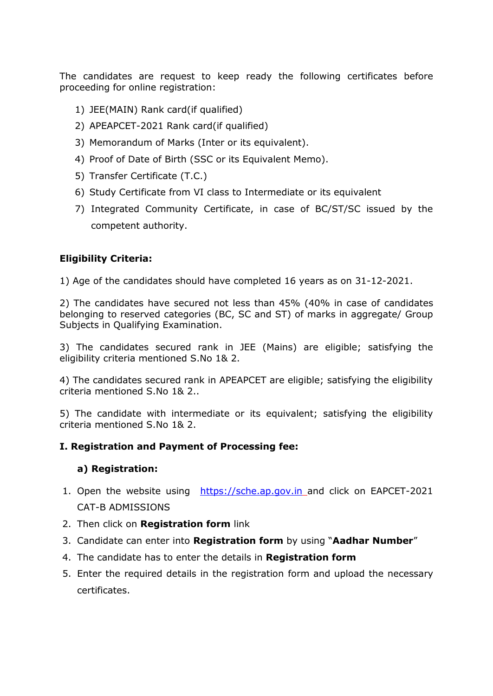The candidates are request to keep ready the following certificates before proceeding for online registration:

- 1) JEE(MAIN) Rank card(if qualified)
- 2) APEAPCET-2021 Rank card(if qualified)
- 3) Memorandum of Marks (Inter or its equivalent).
- 4) Proof of Date of Birth (SSC or its Equivalent Memo).
- 5) Transfer Certificate (T.C.)
- 6) Study Certificate from VI class to Intermediate or its equivalent
- 7) Integrated Community Certificate, in case of BC/ST/SC issued by the competent authority.

## **Eligibility Criteria:**

1) Age of the candidates should have completed 16 years as on 31-12-2021.

2) The candidates have secured not less than 45% (40% in case of candidates belonging to reserved categories (BC, SC and ST) of marks in aggregate/ Group Subjects in Qualifying Examination.

3) The candidates secured rank in JEE (Mains) are eligible; satisfying the eligibility criteria mentioned S.No 1& 2.

4) The candidates secured rank in APEAPCET are eligible; satisfying the eligibility criteria mentioned S.No 1& 2..

5) The candidate with intermediate or its equivalent; satisfying the eligibility criteria mentioned S.No 1& 2.

## **I. Registration and Payment of Processing fee:**

## **a) Registration:**

- 1. Open the website using [https://sche.ap.gov.in](https://sche.ap.gov.in/) and click on EAPCET-2021 CAT-B ADMISSIONS
- 2. Then click on **Registration form** link
- 3. Candidate can enter into **Registration form** by using "**Aadhar Number**"
- 4. The candidate has to enter the details in **Registration form**
- 5. Enter the required details in the registration form and upload the necessary certificates.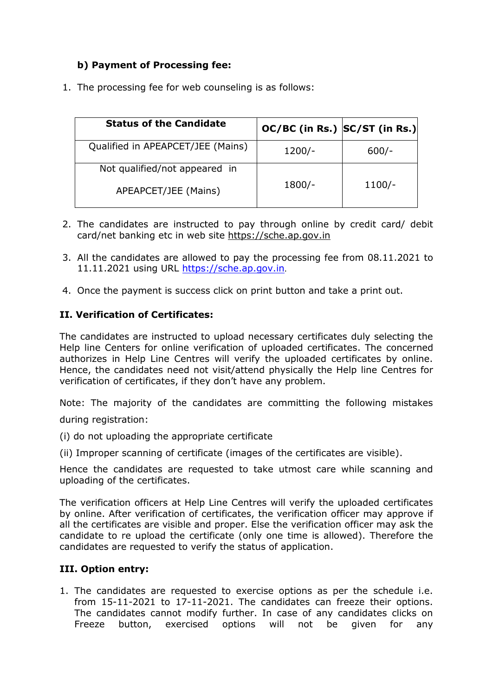## **b) Payment of Processing fee:**

1. The processing fee for web counseling is as follows:

| <b>Status of the Candidate</b>    | OC/BC (in Rs.) SC/ST (in Rs.) |          |
|-----------------------------------|-------------------------------|----------|
| Qualified in APEAPCET/JEE (Mains) | $1200/-$                      | $600/-$  |
| Not qualified/not appeared in     |                               |          |
| APEAPCET/JEE (Mains)              | $1800/-$                      | $1100/-$ |

- 2. The candidates are instructed to pay through online by credit card/ debit card/net banking etc in web site [https://sche.ap.gov.in](https://sche.ap.gov.in/)
- 3. All the candidates are allowed to pay the processing fee from 08.11.2021 to 11.11.2021 using URL [https://sche.ap.gov.in](https://sche.ap.gov.in/).
- 4. Once the payment is success click on print button and take a print out.

## **II. Verification of Certificates:**

The candidates are instructed to upload necessary certificates duly selecting the Help line Centers for online verification of uploaded certificates. The concerned authorizes in Help Line Centres will verify the uploaded certificates by online. Hence, the candidates need not visit/attend physically the Help line Centres for verification of certificates, if they don't have any problem.

Note: The majority of the candidates are committing the following mistakes during registration:

- (i) do not uploading the appropriate certificate
- (ii) Improper scanning of certificate (images of the certificates are visible).

Hence the candidates are requested to take utmost care while scanning and uploading of the certificates.

The verification officers at Help Line Centres will verify the uploaded certificates by online. After verification of certificates, the verification officer may approve if all the certificates are visible and proper. Else the verification officer may ask the candidate to re upload the certificate (only one time is allowed). Therefore the candidates are requested to verify the status of application.

## **III. Option entry:**

1. The candidates are requested to exercise options as per the schedule i.e. from 15-11-2021 to 17-11-2021. The candidates can freeze their options. The candidates cannot modify further. In case of any candidates clicks on Freeze button, exercised options will not be given for any